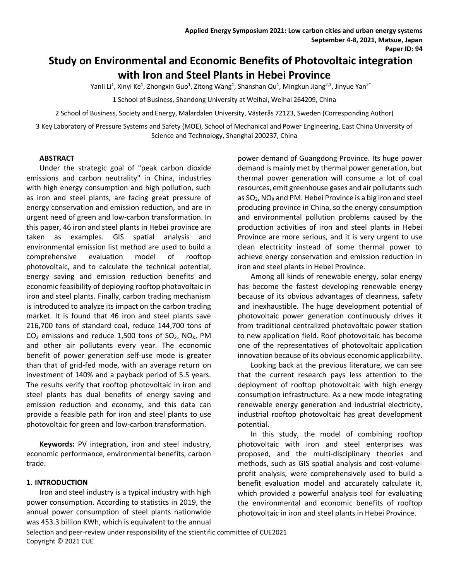# **Study on Environmental and Economic Benefits of Photovoltaic integration with Iron and Steel Plants in Hebei Province**

Yanli Li<sup>1</sup>, Xinyi Ke<sup>1</sup>, Zhongxin Guo<sup>1</sup>, Zitong Wang<sup>1</sup>, Shanshan Qu<sup>1</sup>, Mingkun Jiang<sup>2,3</sup>, Jinyue Yan<sup>2\*</sup>

1 School of Business, Shandong University at Weihai, Weihai 264209, China

2 School of Business, Society and Energy, Mälardalen University, Västerås 72123, Sweden (Corresponding Author)

3 Key Laboratory of Pressure Systems and Safety (MOE), School of Mechanical and Power Engineering, East China University of Science and Technology, Shanghai 200237, China

#### **ABSTRACT**

Under the strategic goal of "peak carbon dioxide emissions and carbon neutrality" in China, industries with high energy consumption and high pollution, such as iron and steel plants, are facing great pressure of energy conservation and emission reduction, and are in urgent need of green and low-carbon transformation. In this paper, 46 iron and steel plants in Hebei province are taken as examples. GIS spatial analysis and environmental emission list method are used to build a comprehensive evaluation model of rooftop photovoltaic, and to calculate the technical potential, energy saving and emission reduction benefits and economic feasibility of deploying rooftop photovoltaic in iron and steel plants. Finally, carbon trading mechanism is introduced to analyze its impact on the carbon trading market. It is found that 46 iron and steel plants save 216,700 tons of standard coal, reduce 144,700 tons of  $CO<sub>2</sub>$  emissions and reduce 1,500 tons of  $SO<sub>2</sub>$ , NO<sub>x</sub>, PM and other air pollutants every year. The economic benefit of power generation self-use mode is greater than that of grid-fed mode, with an average return on investment of 140% and a payback period of 5.5 years. The results verify that rooftop photovoltaic in iron and steel plants has dual benefits of energy saving and emission reduction and economy, and this data can provide a feasible path for iron and steel plants to use photovoltaic for green and low-carbon transformation.

**Keywords:** PV integration, iron and steel industry, economic performance, environmental benefits, carbon trade.

## **1. INTRODUCTION**

Iron and steel industry is a typical industry with high power consumption. According to statistics in 2019, the annual power consumption of steel plants nationwide was 453.3 billion KWh, which is equivalent to the annual power demand of Guangdong Province. Its huge power demand is mainly met by thermal power generation, but thermal power generation will consume a lot of coal resources, emit greenhouse gases and air pollutants such as  $SO_2$ , NO<sub>x</sub> and PM. Hebei Province is a big iron and steel producing province in China, so the energy consumption and environmental pollution problems caused by the production activities of iron and steel plants in Hebei Province are more serious, and it is very urgent to use clean electricity instead of some thermal power to achieve energy conservation and emission reduction in iron and steel plants in Hebei Province.

Among all kinds of renewable energy, solar energy has become the fastest developing renewable energy because of its obvious advantages of cleanness, safety and inexhaustible. The huge development potential of photovoltaic power generation continuously drives it from traditional centralized photovoltaic power station to new application field. Roof photovoltaic has become one of the representatives of photovoltaic application innovation because of its obvious economic applicability.

Looking back at the previous literature, we can see that the current research pays less attention to the deployment of rooftop photovoltaic with high energy consumption infrastructure. As a new mode integrating renewable energy generation and industrial electricity, industrial rooftop photovoltaic has great development potential.

In this study, the model of combining rooftop photovoltaic with iron and steel enterprises was proposed, and the multi-disciplinary theories and methods, such as GIS spatial analysis and cost-volumeprofit analysis, were comprehensively used to build a benefit evaluation model and accurately calculate it, which provided a powerful analysis tool for evaluating the environmental and economic benefits of rooftop photovoltaic in iron and steel plants in Hebei Province.

Selection and peer-review under responsibility of the scientific committee of CUE2021 Copyright © 2021 CUE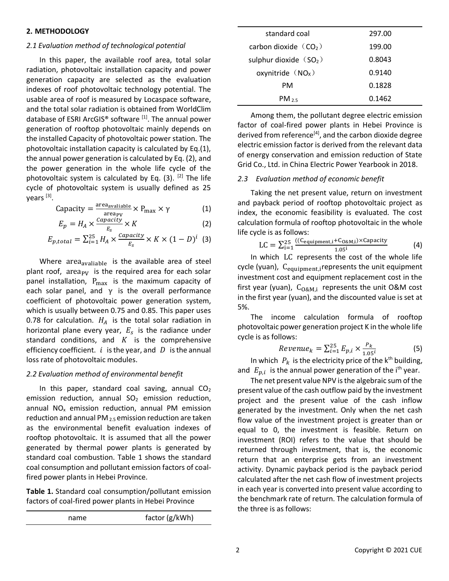# *2.1 Evaluation method of technological potential*

In this paper, the available roof area, total solar radiation, photovoltaic installation capacity and power generation capacity are selected as the evaluation indexes of roof photovoltaic technology potential. The usable area of roof is measured by Locaspace software, and the total solar radiation is obtained from WorldClim database of ESRI ArcGIS® software <sup>[1]</sup>. The annual power generation of rooftop photovoltaic mainly depends on the installed Capacity of photovoltaic power station. The photovoltaic installation capacity is calculated by Eq.(1), the annual power generation is calculated by Eq. (2), and the power generation in the whole life cycle of the photovoltaic system is calculated by Eq. (3). <sup>[2]</sup> The life cycle of photovoltaic system is usually defined as 25 years <sup>[3]</sup>.

$$
Capacity = \frac{\text{area}_{available}}{\text{areap}_{V}} \times P_{\text{max}} \times \gamma \tag{1}
$$

$$
E_p = H_A \times \frac{capacity}{E_s} \times K
$$
 (2)

$$
E_{p,total} = \sum_{i=1}^{25} H_A \times \frac{capacity}{E_s} \times K \times (1-D)^i
$$
 (3)

Where area<sub>avaliable</sub> is the available area of steel plant roof,  $area_{PV}$  is the required area for each solar panel installation,  $P_{\text{max}}$  is the maximum capacity of each solar panel, and  $\gamma$  is the overall performance coefficient of photovoltaic power generation system, which is usually between 0.75 and 0.85. This paper uses 0.78 for calculation.  $H_A$  is the total solar radiation in horizontal plane every year,  $E_{\rm s}$  is the radiance under standard conditions, and  $K$  is the comprehensive efficiency coefficient.  $i$  is the year, and  $D$  is the annual loss rate of photovoltaic modules.

# *2.2 Evaluation method of environmental benefit*

In this paper, standard coal saving, annual  $CO<sub>2</sub>$ emission reduction, annual  $SO<sub>2</sub>$  emission reduction, annual  $NO<sub>x</sub>$  emission reduction, annual PM emission reduction and annual PM $_{2.5}$  emission reduction are taken as the environmental benefit evaluation indexes of rooftop photovoltaic. It is assumed that all the power generated by thermal power plants is generated by standard coal combustion. Table 1 shows the standard coal consumption and pollutant emission factors of coalfired power plants in Hebei Province.

**Table 1.** Standard coal consumption/pollutant emission factors of coal-fired power plants in Hebei Province

| name | factor (g/kWh) |
|------|----------------|
|      |                |

| standard coal           | 297.00 |
|-------------------------|--------|
| carbon dioxide $(CO2)$  | 199.00 |
| sulphur dioxide $(SO2)$ | 0.8043 |
| oxynitride $(NOx)$      | 0.9140 |
| PМ                      | 0.1828 |
| $PM_{25}$               | 0.1462 |

Among them, the pollutant degree electric emission factor of coal-fired power plants in Hebei Province is derived from reference<sup>[4]</sup>, and the carbon dioxide degree electric emission factor is derived from the relevant data of energy conservation and emission reduction of State Grid Co., Ltd. in China Electric Power Yearbook in 2018.

# *2.3 Evaluation method of economic benefit*

Taking the net present value, return on investment and payback period of rooftop photovoltaic project as index, the economic feasibility is evaluated. The cost calculation formula of rooftop photovoltaic in the whole life cycle is as follows:

$$
LC = \sum_{i=1}^{25} \frac{((C_{\text{equipment},i} + C_{\text{O&M},i}) \times \text{Capacity}}{1.05^i} \tag{4}
$$

In which LC represents the cost of the whole life cycle (yuan), C<sub>equipment,i</sub>represents the unit equipment investment cost and equipment replacement cost in the first year (yuan),  $C_{O\&M,i}$  represents the unit O&M cost in the first year (yuan), and the discounted value is set at 5%.

The income calculation formula of rooftop photovoltaic power generation project K in the whole life cycle is as follows:

$$
Revenue_k = \sum_{i=1}^{25} E_{p,i} \times \frac{P_k}{1.05^i}
$$
 (5)

In which  $P_k$  is the electricity price of the k<sup>th</sup> building, and  $E_{p,i}$  is the annual power generation of the i<sup>th</sup> year.

The net present value NPV is the algebraic sum of the present value of the cash outflow paid by the investment project and the present value of the cash inflow generated by the investment. Only when the net cash flow value of the investment project is greater than or equal to 0, the investment is feasible. Return on investment (ROI) refers to the value that should be returned through investment, that is, the economic return that an enterprise gets from an investment activity. Dynamic payback period is the payback period calculated after the net cash flow of investment projects in each year is converted into present value according to the benchmark rate of return. The calculation formula of the three is as follows: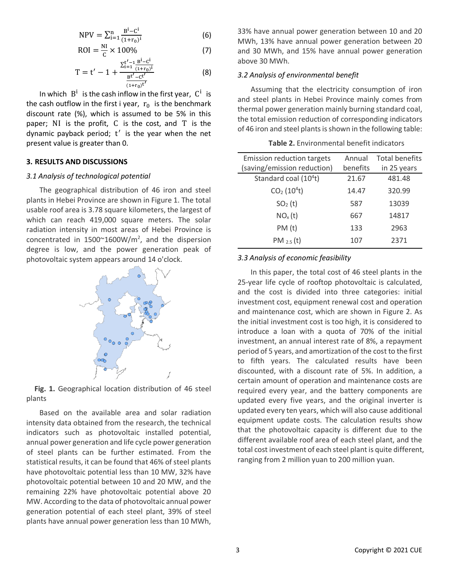$$
NPV = \sum_{i=1}^{n} \frac{B^{i} - C^{i}}{(1+r_{0})^{i}}
$$
 (6)

$$
ROI = \frac{NI}{C} \times 100\%
$$
 (7)

$$
T = t' - 1 + \frac{\sum_{i=1}^{t'-1} \frac{B^i - C^i}{(1+r_0)^i}}{\frac{B^{t'} - C^{t'}}{(1+r_0)^{t'}}}
$$
(8)

In which  $B^i$  is the cash inflow in the first year,  $C^i$  is the cash outflow in the first i year,  $r_0$  is the benchmark discount rate (%), which is assumed to be 5% in this paper; NI is the profit, C is the cost, and T is the dynamic payback period; t ′ is the year when the net present value is greater than 0.

# **3. RESULTS AND DISCUSSIONS**

#### *3.1 Analysis of technological potential*

The geographical distribution of 46 iron and steel plants in Hebei Province are shown in Figure 1. The total usable roof area is 3.78 square kilometers, the largest of which can reach 419,000 square meters. The solar radiation intensity in most areas of Hebei Province is concentrated in  $1500^{\circ}1600W/m^2$ , and the dispersion degree is low, and the power generation peak of photovoltaic system appears around 14 o'clock.



**Fig. 1.** Geographical location distribution of 46 steel plants

Based on the available area and solar radiation intensity data obtained from the research, the technical indicators such as photovoltaic installed potential, annual power generation and life cycle power generation of steel plants can be further estimated. From the statistical results, it can be found that 46% of steel plants have photovoltaic potential less than 10 MW, 32% have photovoltaic potential between 10 and 20 MW, and the remaining 22% have photovoltaic potential above 20 MW. According to the data of photovoltaic annual power generation potential of each steel plant, 39% of steel plants have annual power generation less than 10 MWh, 33% have annual power generation between 10 and 20 MWh, 13% have annual power generation between 20 and 30 MWh, and 15% have annual power generation above 30 MWh.

## *3.2 Analysis of environmental benefit*

Assuming that the electricity consumption of iron and steel plants in Hebei Province mainly comes from thermal power generation mainly burning standard coal, the total emission reduction of corresponding indicators of 46 iron and steel plants is shown in the following table:

| <b>Emission reduction targets</b>   | Annual   | <b>Total benefits</b> |
|-------------------------------------|----------|-----------------------|
| (saving/emission reduction)         | benefits | in 25 years           |
| Standard coal $(104t)$              | 21.67    | 481.48                |
| CO <sub>2</sub> (10 <sup>4</sup> t) | 14.47    | 320.99                |
| SO <sub>2</sub> (t)                 | 587      | 13039                 |
| NO <sub>x</sub> (t)                 | 667      | 14817                 |
| PM(t)                               | 133      | 2963                  |
| PM $_{2.5}$ (t)                     | 107      | 2371                  |
|                                     |          |                       |

## **Table 2.** Environmental benefit indicators

# *3.3 Analysis of economic feasibility*

In this paper, the total cost of 46 steel plants in the 25-year life cycle of rooftop photovoltaic is calculated, and the cost is divided into three categories: initial investment cost, equipment renewal cost and operation and maintenance cost, which are shown in Figure 2. As the initial investment cost is too high, it is considered to introduce a loan with a quota of 70% of the initial investment, an annual interest rate of 8%, a repayment period of 5 years, and amortization of the cost to the first to fifth years. The calculated results have been discounted, with a discount rate of 5%. In addition, a certain amount of operation and maintenance costs are required every year, and the battery components are updated every five years, and the original inverter is updated every ten years, which will also cause additional equipment update costs. The calculation results show that the photovoltaic capacity is different due to the different available roof area of each steel plant, and the total cost investment of each steel plant is quite different, ranging from 2 million yuan to 200 million yuan.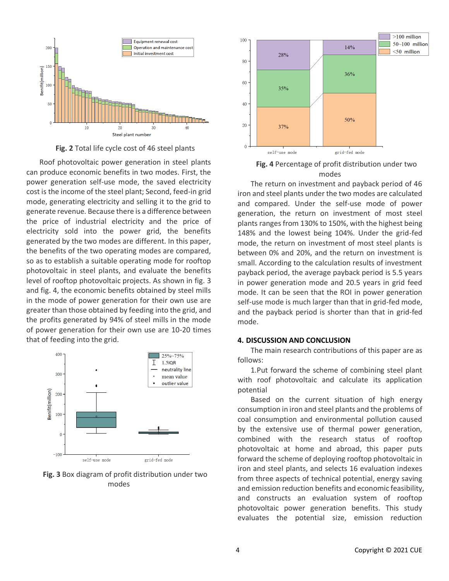

**Fig. 2** Total life cycle cost of 46 steel plants

Roof photovoltaic power generation in steel plants can produce economic benefits in two modes. First, the power generation self-use mode, the saved electricity cost is the income of the steel plant; Second, feed-in grid mode, generating electricity and selling it to the grid to generate revenue. Because there is a difference between the price of industrial electricity and the price of electricity sold into the power grid, the benefits generated by the two modes are different. In this paper, the benefits of the two operating modes are compared, so as to establish a suitable operating mode for rooftop photovoltaic in steel plants, and evaluate the benefits level of rooftop photovoltaic projects. As shown in fig. 3 and fig. 4, the economic benefits obtained by steel mills in the mode of power generation for their own use are greater than those obtained by feeding into the grid, and the profits generated by 94% of steel mills in the mode of power generation for their own use are 10-20 times that of feeding into the grid.







**Fig. 4** Percentage of profit distribution under two modes

The return on investment and payback period of 46 iron and steel plants under the two modes are calculated and compared. Under the self-use mode of power generation, the return on investment of most steel plants ranges from 130% to 150%, with the highest being 148% and the lowest being 104%. Under the grid-fed mode, the return on investment of most steel plants is between 0% and 20%, and the return on investment is small. According to the calculation results of investment payback period, the average payback period is 5.5 years in power generation mode and 20.5 years in grid feed mode. It can be seen that the ROI in power generation self-use mode is much larger than that in grid-fed mode, and the payback period is shorter than that in grid-fed mode.

## **4. DISCUSSION AND CONCLUSION**

The main research contributions of this paper are as follows:

1.Put forward the scheme of combining steel plant with roof photovoltaic and calculate its application potential

Based on the current situation of high energy consumption in iron and steel plants and the problems of coal consumption and environmental pollution caused by the extensive use of thermal power generation, combined with the research status of rooftop photovoltaic at home and abroad, this paper puts forward the scheme of deploying rooftop photovoltaic in iron and steel plants, and selects 16 evaluation indexes from three aspects of technical potential, energy saving and emission reduction benefits and economic feasibility, and constructs an evaluation system of rooftop photovoltaic power generation benefits. This study evaluates the potential size, emission reduction